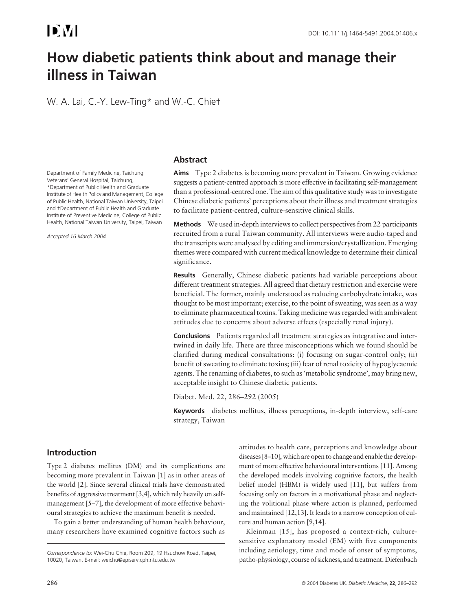# How diabetic patients think about and manage their **illness in Taiwan**

W. A. Lai, C.-Y. Lew-Ting\* and W.-C. Chie†

Department of Family Medicine, Taichung Veterans' General Hospital, Taichung, \*Department of Public Health and Graduate Institute of Health Policy and Management, College of Public Health, National Taiwan University, Taipei and †Department of Public Health and Graduate Institute of Preventive Medicine, College of Public Health, National Taiwan University, Taipei, Taiwan

*Accepted 16 March 2004*

DM

# **Abstract**

**Aims** Type 2 diabetes is becoming more prevalent in Taiwan. Growing evidence suggests a patient-centred approach is more effective in facilitating self-management than a professional-centred one. The aim of this qualitative study was to investigate Chinese diabetic patients' perceptions about their illness and treatment strategies to facilitate patient-centred, culture-sensitive clinical skills.

**Methods** We used in-depth interviews to collect perspectives from 22 participants recruited from a rural Taiwan community. All interviews were audio-taped and the transcripts were analysed by editing and immersion/crystallization. Emerging themes were compared with current medical knowledge to determine their clinical significance.

**Results** Generally, Chinese diabetic patients had variable perceptions about different treatment strategies. All agreed that dietary restriction and exercise were beneficial. The former, mainly understood as reducing carbohydrate intake, was thought to be most important; exercise, to the point of sweating, was seen as a way to eliminate pharmaceutical toxins. Taking medicine was regarded with ambivalent attitudes due to concerns about adverse effects (especially renal injury).

**Conclusions** Patients regarded all treatment strategies as integrative and intertwined in daily life. There are three misconceptions which we found should be clarified during medical consultations: (i) focusing on sugar-control only; (ii) benefit of sweating to eliminate toxins; (iii) fear of renal toxicity of hypoglycaemic agents. The renaming of diabetes, to such as 'metabolic syndrome', may bring new, acceptable insight to Chinese diabetic patients.

Diabet. Med. 22, 286–292 (2005)

**Keywords** diabetes mellitus, illness perceptions, in-depth interview, self-care strategy, Taiwan

### **Introduction**

Type 2 diabetes mellitus (DM) and its complications are becoming more prevalent in Taiwan [1] as in other areas of the world [2]. Since several clinical trials have demonstrated benefits of aggressive treatment [3,4], which rely heavily on selfmanagement [5–7], the development of more effective behavioural strategies to achieve the maximum benefit is needed.

To gain a better understanding of human health behaviour, many researchers have examined cognitive factors such as

attitudes to health care, perceptions and knowledge about diseases [8–10], which are open to change and enable the development of more effective behavioural interventions [11]. Among the developed models involving cognitive factors, the health belief model (HBM) is widely used [11], but suffers from focusing only on factors in a motivational phase and neglecting the volitional phase where action is planned, performed and maintained [12,13]. It leads to a narrow conception of culture and human action [9,14].

Kleinman [15], has proposed a context-rich, culturesensitive explanatory model (EM) with five components including aetiology, time and mode of onset of symptoms, patho-physiology, course of sickness, and treatment. Diefenbach

*Correspondence to*: Wei-Chu Chie, Room 209, 19 Hsuchow Road, Taipei, 10020, Taiwan. E-mail: weichu@episerv.cph.ntu.edu.tw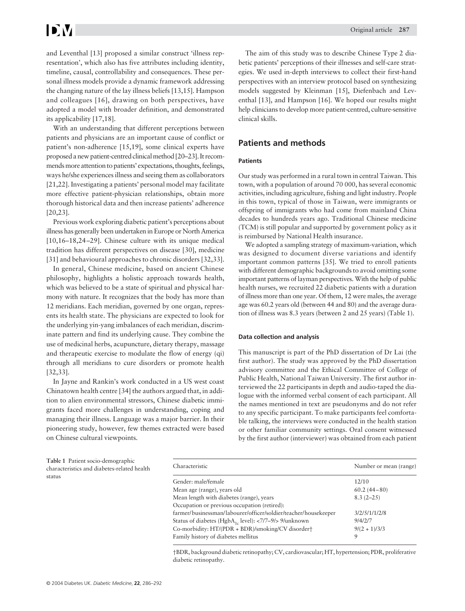# **DV**

and Leventhal [13] proposed a similar construct 'illness representation', which also has five attributes including identity, timeline, causal, controllability and consequences. These personal illness models provide a dynamic framework addressing the changing nature of the lay illness beliefs [13,15]. Hampson and colleagues [16], drawing on both perspectives, have adopted a model with broader definition, and demonstrated its applicability [17,18].

With an understanding that different perceptions between patients and physicians are an important cause of conflict or patient's non-adherence [15,19], some clinical experts have proposed a new patient-centred clinical method [20–23]. It recommends more attention to patients' expectations, thoughts, feelings, ways he/she experiences illness and seeing them as collaborators [21,22]. Investigating a patients' personal model may facilitate more effective patient-physician relationships, obtain more thorough historical data and then increase patients' adherence [20,23].

Previous work exploring diabetic patient's perceptions about illness has generally been undertaken in Europe or North America [10,16–18,24–29]. Chinese culture with its unique medical tradition has different perspectives on disease [30], medicine [31] and behavioural approaches to chronic disorders [32,33].

In general, Chinese medicine, based on ancient Chinese philosophy, highlights a holistic approach towards health, which was believed to be a state of spiritual and physical harmony with nature. It recognizes that the body has more than 12 meridians. Each meridian, governed by one organ, represents its health state. The physicians are expected to look for the underlying yin-yang imbalances of each meridian, discriminate pattern and find its underlying cause. They combine the use of medicinal herbs, acupuncture, dietary therapy, massage and therapeutic exercise to modulate the flow of energy (qi) through all meridians to cure disorders or promote health [32,33].

In Jayne and Rankin's work conducted in a US west coast Chinatown health centre [34] the authors argued that, in addition to alien environmental stressors, Chinese diabetic immigrants faced more challenges in understanding, coping and managing their illness. Language was a major barrier. In their pioneering study, however, few themes extracted were based on Chinese cultural viewpoints.

The aim of this study was to describe Chinese Type 2 diabetic patients' perceptions of their illnesses and self-care strategies. We used in-depth interviews to collect their first-hand perspectives with an interview protocol based on synthesizing models suggested by Kleinman [15], Diefenbach and Leventhal [13], and Hampson [16]. We hoped our results might help clinicians to develop more patient-centred, culture-sensitive clinical skills.

# **Patients and methods**

#### **Patients**

Our study was performed in a rural town in central Taiwan. This town, with a population of around 70 000, has several economic activities, including agriculture, fishing and light industry. People in this town, typical of those in Taiwan, were immigrants or offspring of immigrants who had come from mainland China decades to hundreds years ago. Traditional Chinese medicine (TCM) is still popular and supported by government policy as it is reimbursed by National Health insurance.

We adopted a sampling strategy of maximum-variation, which was designed to document diverse variations and identify important common patterns [35]. We tried to enroll patients with different demographic backgrounds to avoid omitting some important patterns of layman perspectives. With the help of public health nurses, we recruited 22 diabetic patients with a duration of illness more than one year. Of them, 12 were males, the average age was 60.2 years old (between 44 and 80) and the average duration of illness was 8.3 years (between 2 and 25 years) (Table 1).

#### **Data collection and analysis**

This manuscript is part of the PhD dissertation of Dr Lai (the first author). The study was approved by the PhD dissertation advisory committee and the Ethical Committee of College of Public Health, National Taiwan University. The first author interviewed the 22 participants in depth and audio-taped the dialogue with the informed verbal consent of each participant. All the names mentioned in text are pseudonyms and do not refer to any specific participant. To make participants feel comfortable talking, the interviews were conducted in the health station or other familiar community settings. Oral consent witnessed by the first author (interviewer) was obtained from each patient

| Table 1 Patient socio-demographic           |
|---------------------------------------------|
| characteristics and diabetes-related health |
| status                                      |

| Number or mean (range) |
|------------------------|
|                        |
| $60.2(44-80)$          |
|                        |
|                        |
| 3/2/5/1/1/2/8          |
|                        |
|                        |
|                        |
| $9/(2 + 1)/3/3$        |

†BDR, background diabetic retinopathy; CV, cardiovascular; HT, hypertension; PDR, proliferative diabetic retinopathy.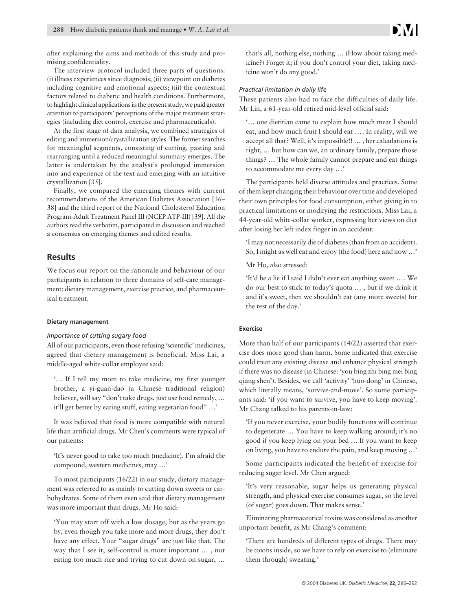after explaining the aims and methods of this study and promising confidentiality.

The interview protocol included three parts of questions: (i) illness experiences since diagnosis; (ii) viewpoint on diabetes including cognitive and emotional aspects; (iii) the contextual factors related to diabetic and health conditions. Furthermore, to highlight clinical applications in the present study, we paid greater attention to participants' perceptions of the major treatment strategies (including diet control, exercise and pharmaceuticals).

At the first stage of data analysis, we combined strategies of editing and immersion/crystallization styles. The former searches for meaningful segments, consisting of cutting, pasting and rearranging until a reduced meaningful summary emerges. The latter is undertaken by the analyst's prolonged immersion into and experience of the text and emerging with an intuitive crystallization [35].

Finally, we compared the emerging themes with current recommendations of the American Diabetes Association [36– 38] and the third report of the National Cholesterol Education Program-Adult Treatment Panel III (NCEP ATP-III) [39]. All the authors read the verbatim, participated in discussion and reached a consensus on emerging themes and edited results.

# **Results**

We focus our report on the rationale and behaviour of our participants in relation to three domains of self-care management: dietary management, exercise practice, and pharmaceutical treatment.

#### **Dietary management**

#### *Importance of cutting sugary food*

All of our participants, even those refusing 'scientific' medicines, agreed that dietary management is beneficial. Miss Lai, a middle-aged white-collar employee said:

'… If I tell my mom to take medicine, my first younger brother, a yi-guan-dao (a Chinese traditional religion) believer, will say "don't take drugs, just use food remedy, … it'll get better by eating stuff, eating vegetarian food" …'

It was believed that food is more compatible with natural life than artificial drugs. Mr Chen's comments were typical of our patients:

'It's never good to take too much (medicine). I'm afraid the compound, western medicines, may …'

To most participants (16/22) in our study, dietary management was referred to as mainly to cutting down sweets or carbohydrates. Some of them even said that dietary management was more important than drugs. Mr Ho said:

'You may start off with a low dosage, but as the years go by, even though you take more and more drugs, they don't have any effect. Your "sugar drugs" are just like that. The way that I see it, self-control is more important … , not eating too much rice and trying to cut down on sugar, …

that's all, nothing else, nothing … (How about taking medicine?) Forget it; if you don't control your diet, taking medicine won't do any good.'

#### *Practical limitation in daily life*

These patients also had to face the difficulties of daily life. Mr Lin, a 61-year-old retired mid-level official said:

'… one dietitian came to explain how much meat I should eat, and how much fruit I should eat …. In reality, will we accept all that? Well, it's impossible!! … , her calculations is right, … but how can we, an ordinary family, prepare those things? … The whole family cannot prepare and eat things to accommodate me every day …'

The participants held diverse attitudes and practices. Some of them kept changing their behaviour over time and developed their own principles for food consumption, either giving in to practical limitations or modifying the restrictions. Miss Lai, a 44-year-old white-collar worker, expressing her views on diet after losing her left index finger in an accident:

'I may not necessarily die of diabetes (than from an accident). So, I might as well eat and enjoy (the food) here and now …'

Mr Ho, also stressed:

'It'd be a lie if I said I didn't ever eat anything sweet …. We do our best to stick to today's quota … , but if we drink it and it's sweet, then we shouldn't eat (any more sweets) for the rest of the day.'

#### **Exercise**

More than half of our participants (14/22) asserted that exercise does more good than harm. Some indicated that exercise could treat any existing disease and enhance physical strength if there was no disease (in Chinese: 'you bing zhi bing mei bing qiang shen'). Besides, we call 'activity' 'huo-dong' in Chinese, which literally means, 'survive-and-move'. So some participants said: 'if you want to survive, you have to keep moving'. Mr Chang talked to his parents-in-law:

'If you never exercise, your bodily functions will continue to degenerate … You have to keep walking around; it's no good if you keep lying on your bed … If you want to keep on living, you have to endure the pain, and keep moving …'

Some participants indicated the benefit of exercise for reducing sugar level. Mr Chen argued:

'It's very reasonable, sugar helps us generating physical strength, and physical exercise consumes sugar, so the level (of sugar) goes down. That makes sense.'

Eliminating pharmaceutical toxins was considered as another important benefit, as Mr Chang's comment:

'There are hundreds of different types of drugs. There may be toxins inside, so we have to rely on exercise to (eliminate them through) sweating.'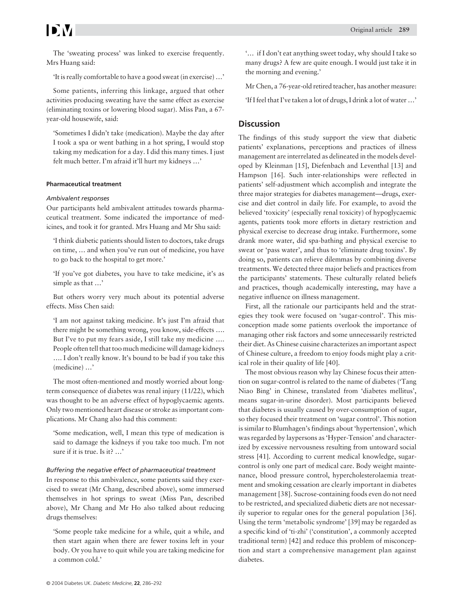The 'sweating process' was linked to exercise frequently. Mrs Huang said:

'It is really comfortable to have a good sweat (in exercise) …'

Some patients, inferring this linkage, argued that other activities producing sweating have the same effect as exercise (eliminating toxins or lowering blood sugar). Miss Pan, a 67 year-old housewife, said:

'Sometimes I didn't take (medication). Maybe the day after I took a spa or went bathing in a hot spring, I would stop taking my medication for a day. I did this many times. I just felt much better. I'm afraid it'll hurt my kidneys …'

#### **Pharmaceutical treatment**

#### *Ambivalent responses*

Our participants held ambivalent attitudes towards pharmaceutical treatment. Some indicated the importance of medicines, and took it for granted. Mrs Huang and Mr Shu said:

'I think diabetic patients should listen to doctors, take drugs on time, … and when you've run out of medicine, you have to go back to the hospital to get more.'

'If you've got diabetes, you have to take medicine, it's as simple as that …'

But others worry very much about its potential adverse effects. Miss Chen said:

'I am not against taking medicine. It's just I'm afraid that there might be something wrong, you know, side-effects …. But I've to put my fears aside, I still take my medicine …. People often tell that too much medicine will damage kidneys …. I don't really know. It's bound to be bad if you take this (medicine) …'

The most often-mentioned and mostly worried about longterm consequence of diabetes was renal injury (11/22), which was thought to be an adverse effect of hypoglycaemic agents. Only two mentioned heart disease or stroke as important complications. Mr Chang also had this comment:

'Some medication, well, I mean this type of medication is said to damage the kidneys if you take too much. I'm not sure if it is true. Is it? …'

#### *Buffering the negative effect of pharmaceutical treatment*

In response to this ambivalence, some patients said they exercised to sweat (Mr Chang, described above), some immersed themselves in hot springs to sweat (Miss Pan, described above), Mr Chang and Mr Ho also talked about reducing drugs themselves:

'Some people take medicine for a while, quit a while, and then start again when there are fewer toxins left in your body. Or you have to quit while you are taking medicine for a common cold.'

'… if I don't eat anything sweet today, why should I take so many drugs? A few are quite enough. I would just take it in the morning and evening.'

Mr Chen, a 76-year-old retired teacher, has another measure:

'If I feel that I've taken a lot of drugs, I drink a lot of water …'

# **Discussion**

The findings of this study support the view that diabetic patients' explanations, perceptions and practices of illness management are interrelated as delineated in the models developed by Kleinman [15], Diefenbach and Leventhal [13] and Hampson [16]. Such inter-relationships were reflected in patients' self-adjustment which accomplish and integrate the three major strategies for diabetes management—drugs, exercise and diet control in daily life. For example, to avoid the believed 'toxicity' (especially renal toxicity) of hypoglycaemic agents, patients took more efforts in dietary restriction and physical exercise to decrease drug intake. Furthermore, some drank more water, did spa-bathing and physical exercise to sweat or 'pass water', and thus to 'eliminate drug toxins'. By doing so, patients can relieve dilemmas by combining diverse treatments. We detected three major beliefs and practices from the participants' statements. These culturally related beliefs and practices, though academically interesting, may have a negative influence on illness management.

First, all the rationale our participants held and the strategies they took were focused on 'sugar-control'. This misconception made some patients overlook the importance of managing other risk factors and some unnecessarily restricted their diet. As Chinese cuisine characterizes an important aspect of Chinese culture, a freedom to enjoy foods might play a critical role in their quality of life [40].

The most obvious reason why lay Chinese focus their attention on sugar-control is related to the name of diabetes ('Tang Niao Bing' in Chinese, translated from 'diabetes mellitus', means sugar-in-urine disorder). Most participants believed that diabetes is usually caused by over-consumption of sugar, so they focused their treatment on 'sugar control'. This notion is similar to Blumhagen's findings about 'hypertension', which was regarded by laypersons as 'Hyper-Tension' and characterized by excessive nervousness resulting from untoward social stress [41]. According to current medical knowledge, sugarcontrol is only one part of medical care. Body weight maintenance, blood pressure control, hypercholesterolaemia treatment and smoking cessation are clearly important in diabetes management [38]. Sucrose-containing foods even do not need to be restricted, and specialized diabetic diets are not necessarily superior to regular ones for the general population [36]. Using the term 'metabolic syndrome' [39] may be regarded as a specific kind of 'ti-zhi' ('constitution', a commonly accepted traditional term) [42] and reduce this problem of misconception and start a comprehensive management plan against diabetes.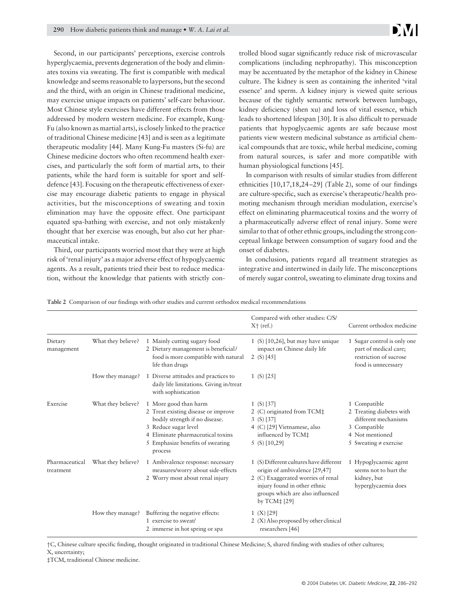Second, in our participants' perceptions, exercise controls hyperglycaemia, prevents degeneration of the body and eliminates toxins via sweating. The first is compatible with medical knowledge and seems reasonable to laypersons, but the second and the third, with an origin in Chinese traditional medicine, may exercise unique impacts on patients' self-care behaviour. Most Chinese style exercises have different effects from those addressed by modern western medicine. For example, Kung-Fu (also known as martial arts), is closely linked to the practice of traditional Chinese medicine [43] and is seen as a legitimate therapeutic modality [44]. Many Kung-Fu masters (Si-fu) are Chinese medicine doctors who often recommend health exercises, and particularly the soft form of martial arts, to their patients, while the hard form is suitable for sport and selfdefence [43]. Focusing on the therapeutic effectiveness of exercise may encourage diabetic patients to engage in physical activities, but the misconceptions of sweating and toxin elimination may have the opposite effect. One participant equated spa-bathing with exercise, and not only mistakenly thought that her exercise was enough, but also cut her pharmaceutical intake.

Third, our participants worried most that they were at high risk of 'renal injury' as a major adverse effect of hypoglycaemic agents. As a result, patients tried their best to reduce medication, without the knowledge that patients with strictly controlled blood sugar significantly reduce risk of microvascular complications (including nephropathy). This misconception may be accentuated by the metaphor of the kidney in Chinese culture. The kidney is seen as containing the inherited 'vital essence' and sperm. A kidney injury is viewed quite serious because of the tightly semantic network between lumbago, kidney deficiency (shen xu) and loss of vital essence, which leads to shortened lifespan [30]. It is also difficult to persuade patients that hypoglycaemic agents are safe because most patients view western medicinal substance as artificial chemical compounds that are toxic, while herbal medicine, coming from natural sources, is safer and more compatible with human physiological functions [45].

In comparison with results of similar studies from different ethnicities [10,17,18,24–29] (Table 2), some of our findings are culture-specific, such as exercise's therapeutic/health promoting mechanism through meridian modulation, exercise's effect on eliminating pharmaceutical toxins and the worry of a pharmaceutically adverse effect of renal injury. Some were similar to that of other ethnic groups, including the strong conceptual linkage between consumption of sugary food and the onset of diabetes.

In conclusion, patients regard all treatment strategies as integrative and intertwined in daily life. The misconceptions of merely sugar control, sweating to eliminate drug toxins and

**Table 2** Comparison of our findings with other studies and current orthodox medical recommendations

|                             |                    |                                                                                                                                                                                                            | Compared with other studies: C/S/<br>$X^+$ (ref.)                                                                                                                                                  | Current orthodox medicine                                                                                                         |
|-----------------------------|--------------------|------------------------------------------------------------------------------------------------------------------------------------------------------------------------------------------------------------|----------------------------------------------------------------------------------------------------------------------------------------------------------------------------------------------------|-----------------------------------------------------------------------------------------------------------------------------------|
| Dietary<br>management       | What they believe? | 1 Mainly cutting sugary food<br>2 Dietary management is beneficial/<br>food is more compatible with natural<br>life than drugs                                                                             | 1 (S) $[10,26]$ , but may have unique<br>impact on Chinese daily life<br>2 (S) $[45]$                                                                                                              | 1 Sugar control is only one<br>part of medical care;<br>restriction of sucrose<br>food is unnecessary                             |
|                             | How they manage?   | 1 Diverse attitudes and practices to<br>daily life limitations. Giving in/treat<br>with sophistication                                                                                                     | 1 (S) $[25]$                                                                                                                                                                                       |                                                                                                                                   |
| Exercise                    | What they believe? | 1 More good than harm<br>2 Treat existing disease or improve<br>bodily strength if no disease.<br>3 Reduce sugar level<br>4 Eliminate pharmaceutical toxins<br>5 Emphasize benefits of sweating<br>process | $1$ (S) [37]<br>2 (C) originated from TCM‡<br>3(5)[37]<br>4 (C) [29] Vietnamese, also<br>influenced by TCM‡<br>$5($ S $)$ $[10,29]$                                                                | 1 Compatible<br>2 Treating diabetes with<br>different mechanisms<br>3 Compatible<br>4 Not mentioned<br>5 Sweating $\neq$ exercise |
| Pharmaceutical<br>treatment | What they believe? | 1 Ambivalence response: necessary<br>measures/worry about side-effects<br>2 Worry most about renal injury                                                                                                  | 1 (S) Different cultures have different<br>origin of ambivalence [29,47]<br>2 (C) Exaggerated worries of renal<br>injury found in other ethnic<br>groups which are also influenced<br>by TCM‡ [29] | 1 Hypoglycaemic agent<br>seems not to hurt the<br>kidney, but<br>hyperglycaemia does                                              |
|                             | How they manage?   | Buffering the negative effects:<br>1 exercise to sweat/<br>2 immerse in hot spring or spa                                                                                                                  | 1 (X) [29]<br>2 (X) Also proposed by other clinical<br>researchers [46]                                                                                                                            |                                                                                                                                   |

†C, Chinese culture specific finding, thought originated in traditional Chinese Medicine; S, shared finding with studies of other cultures; X, uncertainty;

‡TCM, traditional Chinese medicine.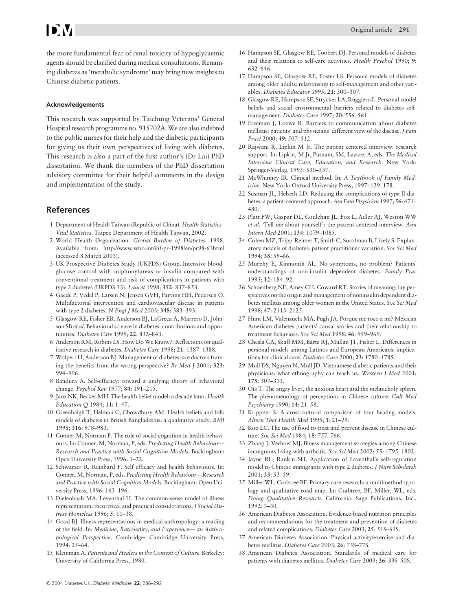# DM

the more fundamental fear of renal toxicity of hypoglycaemic agents should be clarified during medical consultations. Renaming diabetes as 'metabolic syndrome' may bring new insights to Chinese diabetic patients.

#### **Acknowledgements**

This research was supported by Taichung Veterans' General Hospital research programme no. 915702A. We are also indebted to the public nurses for their help and the diabetic participants for giving us their own perspectives of living with diabetes. This research is also a part of the first author's (Dr Lai) PhD dissertation. We thank the members of the PhD dissertation advisory committee for their helpful comments in the design and implementation of the study.

### **References**

- 1 Department of Health Taiwan (Republic of China). *Health Statistics– Vital Statistics*. Taipei: Department of Health Taiwan, 2002.
- 2 World Health Organization. *Global Burden of Diabetes.* 1998. Available from: http://www.who.int/inf-pr-1998/en/pr98-63html (accessed 8 March 2003).
- 3 UK Prospective Diabetes Study (UKPDS) Group. Intensive bloodglucose control with sulphonylureas or insulin compared with conventional treatment and risk of complications in patients with type 2 diabetes (UKPDS 33). *Lancet* 1998; **352**: 837–853.
- 4 Gaede P, Vedel P, Larsen N, Jensen GVH, Parving HH, Pedersen O. Multifactorial intervention and cardiovascular disease in patients with type 2 diabetes. *N Engl J Med* 2003; **348**: 383–393.
- 5 Glasgow RE, Fisher EB, Anderson BJ, LaGreca A, Marrero D, Johnson SB *et al.* Behavioral science in diabetes: contributions and opportunities. *Diabetes Care* 1999; **22**: 832–843.
- 6 Anderson RM, Robins LS. How Do We Know?: Reflections on qualitative research in diabetes. *Diabetes Care* 1998; **21**: 1387–1388.
- 7 Wolpert H, Anderson BJ. Management of diabetes: are doctors framing the benefits from the wrong perspective? *Br Med J* 2001; **323**: 994–996.
- 8 Bandura A. Self-efficacy: toward a unifying theory of behavioral change. *Psychol Rev* 1977; **84**: 191–215.
- 9 Janz NK, Becker MH. The health belief model: a decade later. *Health Education Q* 1984; **11**: 1–47.
- 10 Greenhalgh T, Helman C, Chowdhury AM. Health beliefs and folk models of diabetes in British Bangladeshis: a qualitative study. *BMJ* 1998; **316**: 978–983.
- 11 Conner M, Norman P. The role of social cognition in health behaviours. In: Conner, M, Norman, P, eds. *Predicting Health Behaviour— Research and Practice with Social Cognition Models*. Buckingham: Open University Press, 1996: 1–22.
- 12 Schwarzer R, Reinbard F. Self efficacy and health behaviours. In: Conner, M, Norman, P, eds. *Predicting Health Behaviour—Research and Practice with Social Cognition Models*. Buckingham: Open University Press, 1996: 163–196.
- 13 Diefenbach MA, Leventhal H. The common-sense model of illness representation: theoretical and practical considerations. *J Social Distress Homeless* 1996; **5**: 11–38.
- 14 Good BJ. Illness representations in medical anthropology: a reading of the field. In: *Medicine, Rationality, and Experience— an Anthropological Perspective*. Cambridge: Cambridge University Press, 1994: 25–64.
- 15 Kleinman A. *Patients and Healers in the Context of Culture*. Berkeley: University of California Press, 1980.
- 16 Hampson SE, Glasgow RE, Toobert DJ. Personal models of diabetes and their relations to self-care activities. *Health Psychol* 1990; **9**: 632–646.
- 17 Hampson SE, Glasgow RE, Foster LS. Personal models of diabetes among older adults: relationship to self-management and other variables. *Diabetes Educator* 1995; **21**: 300–307.
- 18 Glasgow RE, Hampson SE, Strycker LA, Ruggiero L. Personal-model beliefs and social–environmental barriers related to diabetes selfmanagement. *Diabetes Care* 1997; **20**: 556–561.
- 19 Freeman J, Loewe R. Barriers to communication about diabetes mellitus: patients' and physicians' different view of the disease. *J Fam Pract* 2000; **49**: 507–512.
- 20 Rajwani R, Lipkin M Jr. The patient centered interview: research support. In: Lipkin, M Jr, Putnam, SM, Lazare, A, eds. *The Medical Interview Clinical Care, Education, and Research*. New York: Springer-Verlag, 1995: 530–537.
- 21 McWhinney IR. Clinical method. In: *A Textbook of Family Medicine*. New York: Oxford University Press, 1997: 129–178.
- 22 Susman JL, Helseth LD. Reducing the complications of type II diabetes: a patient-centered approach. *Am Fam Physician* 1997; **56**: 471– 480.
- 23 Platt FW, Gaspar DL, Coulehan JL, Fox L, Adler AJ, Weston WW *et al.* 'Tell me about yourself': the patient-centered interview. *Ann Intern Med* 2001; **134**: 1079–1085.
- 24 Cohen MZ, Tripp-Reimer T, Smith C, Sorofman B, Lively S. Explanatory models of diabetes: patient practitioner variation. *Soc Sci Med* 1994; **38**: 59–66.
- 25 Murphy E, Kinmonth AL. No symptoms, no problem? Patients' understandings of non-insulin dependent diabetes. *Family Prac* 1995; **12**: 184–92.
- 26 Schoenberg NE, Amey CH, Coward RT. Stories of meaning: lay perspectives on the origin and management of noninsulin dependent diabetes mellitus among older women in the United States. *Soc Sci Med* 1998; **47**: 2113–2125.
- 27 Hunt LM, Valenzuela MA, Pugh JA. Porque me toco a mi? Mexican American diabetes patients' causal stories and their relationship to treatment behaviors. *Soc Sci Med* 1998; **46**: 959–969.
- 28 Chesla CA, Skaff MM, Bartz RJ, Mullan JT, Fisher L. Differences in personal models among Latinos and European Americans: implications for clinical care. *Diabetes Care* 2000; **23**: 1780–1785.
- 29 Mull DS, Nguyen N, Mull JD. Vietnamese diabetic patients and their physicians: what ethnography can teach us. *Western J Med* 2001; **175**: 307–311.
- 30 Ots T. The angry liver, the anxious heart and the melancholy spleen. The phenomenology of perceptions in Chinese culture. *Cult Med Psychiatry* 1990; **14**: 21–58.
- 31 Krippner S. A cross-cultural comparison of four healing models. *Altern Ther Health Med* 1995; **1**: 21–29.
- 32 Koo LC. The use of food to treat and prevent disease in Chinese culture. *Soc Sci Med* 1984; **18**: 757–766.
- 33 Zhang J, Verhoef MJ. Illness management strategies among Chinese immigrants living with arthritis. *Soc Sci Med* 2002; **55**: 1795–1802.
- 34 Jayne RL, Rankin SH. Application of Leventhal's self-regulation model to Chinese immigrants with type 2 diabetes. *J Nurs Scholarsh* 2001; **33**: 53–59.
- 35 Miller WL, Crabtree BF. Primary care research: a multimethod typology and qualitative road map. In: Crabtree, BF, Miller, WL, eds. *Doing Qualitative Research*. California: Sage Publications, Inc., 1992: 3–30.
- 36 American Diabetes Association. Evidence-based nutrition principles and recommendations for the treatment and prevention of diabetes and related complications. *Diabetes Care* 2003; **25**: 51S–61S.
- 37 American Diabetes Association. Physical activity/exercise and diabetes mellitus. *Diabetes Care* 2003; **26**: 73S–77S.
- 38 American Diabetes Association. Standards of medical care for patients with diabetes mellitus. *Diabetes Care* 2003; **26**: 33S–50S.